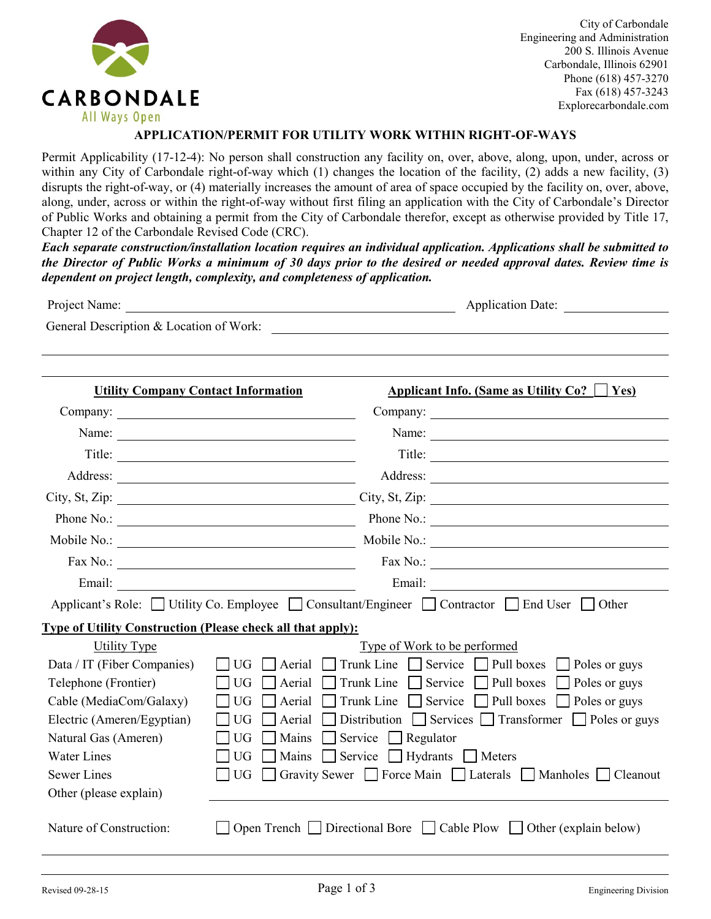

City of Carbondale Engineering and Administration 200 S. Illinois Avenue Carbondale, Illinois 62901 Phone (618) 457-3270 Fax (618) 457-3243 Explorecarbondale.com

## **APPLICATION/PERMIT FOR UTILITY WORK WITHIN RIGHT-OF-WAYS**

Permit Applicability (17-12-4): No person shall construction any facility on, over, above, along, upon, under, across or within any City of Carbondale right-of-way which (1) changes the location of the facility, (2) adds a new facility, (3) disrupts the right-of-way, or (4) materially increases the amount of area of space occupied by the facility on, over, above, along, under, across or within the right-of-way without first filing an application with the City of Carbondale's Director of Public Works and obtaining a permit from the City of Carbondale therefor, except as otherwise provided by Title 17, Chapter 12 of the Carbondale Revised Code (CRC).

*Each separate construction/installation location requires an individual application. Applications shall be submitted to the Director of Public Works a minimum of 30 days prior to the desired or needed approval dates. Review time is dependent on project length, complexity, and completeness of application.*

| Project Name:                                                      | Application Date:<br><u> 1980 - Johann Stein, mars an de British Barbara (b. 1980)</u>       |  |  |  |  |  |
|--------------------------------------------------------------------|----------------------------------------------------------------------------------------------|--|--|--|--|--|
| General Description & Location of Work:                            |                                                                                              |  |  |  |  |  |
|                                                                    |                                                                                              |  |  |  |  |  |
|                                                                    |                                                                                              |  |  |  |  |  |
| <b>Utility Company Contact Information</b>                         | Applicant Info. (Same as Utility Co? $ $   Yes)                                              |  |  |  |  |  |
|                                                                    |                                                                                              |  |  |  |  |  |
|                                                                    | Name: $\qquad \qquad$                                                                        |  |  |  |  |  |
|                                                                    | Title:                                                                                       |  |  |  |  |  |
|                                                                    |                                                                                              |  |  |  |  |  |
|                                                                    |                                                                                              |  |  |  |  |  |
|                                                                    |                                                                                              |  |  |  |  |  |
|                                                                    |                                                                                              |  |  |  |  |  |
|                                                                    | Fax No.: $\qquad \qquad$<br>Fax No.: $\qquad \qquad$                                         |  |  |  |  |  |
| Email:                                                             | <u> 1989 - Johann Barbara, martin amerikan basar da</u>                                      |  |  |  |  |  |
|                                                                    | Applicant's Role: Utility Co. Employee   Consultant/Engineer   Contractor   End User   Other |  |  |  |  |  |
| <b>Type of Utility Construction (Please check all that apply):</b> |                                                                                              |  |  |  |  |  |
| <b>Utility Type</b>                                                | Type of Work to be performed                                                                 |  |  |  |  |  |
| Data / IT (Fiber Companies)                                        | Trunk Line $\Box$ Service $\Box$ Pull boxes $\Box$ Poles or guys<br>Aerial<br>UG.            |  |  |  |  |  |
| Telephone (Frontier)                                               | Trunk Line $\Box$ Service $\Box$ Pull boxes<br>Poles or guys<br><b>UG</b><br>Aerial          |  |  |  |  |  |
| Cable (MediaCom/Galaxy)                                            | Trunk Line $\Box$ Service $\Box$ Pull boxes<br>Poles or guys<br><b>UG</b><br>Aerial          |  |  |  |  |  |
| Electric (Ameren/Egyptian)                                         | Distribution Services Transformer Poles or guys<br>UG<br>Aerial                              |  |  |  |  |  |
| Natural Gas (Ameren)                                               | Mains<br>Service Regulator<br><b>UG</b>                                                      |  |  |  |  |  |
| <b>Water Lines</b>                                                 | Service Hydrants Meters<br><b>UG</b><br>Mains                                                |  |  |  |  |  |
| <b>Sewer Lines</b>                                                 | Gravity Sewer Sorce Main Laterals Manholes [<br>UG.<br>Cleanout                              |  |  |  |  |  |
| Other (please explain)                                             |                                                                                              |  |  |  |  |  |
| Nature of Construction:                                            | Open Trench $\Box$ Directional Bore $\Box$ Cable Plow $\Box$ Other (explain below)           |  |  |  |  |  |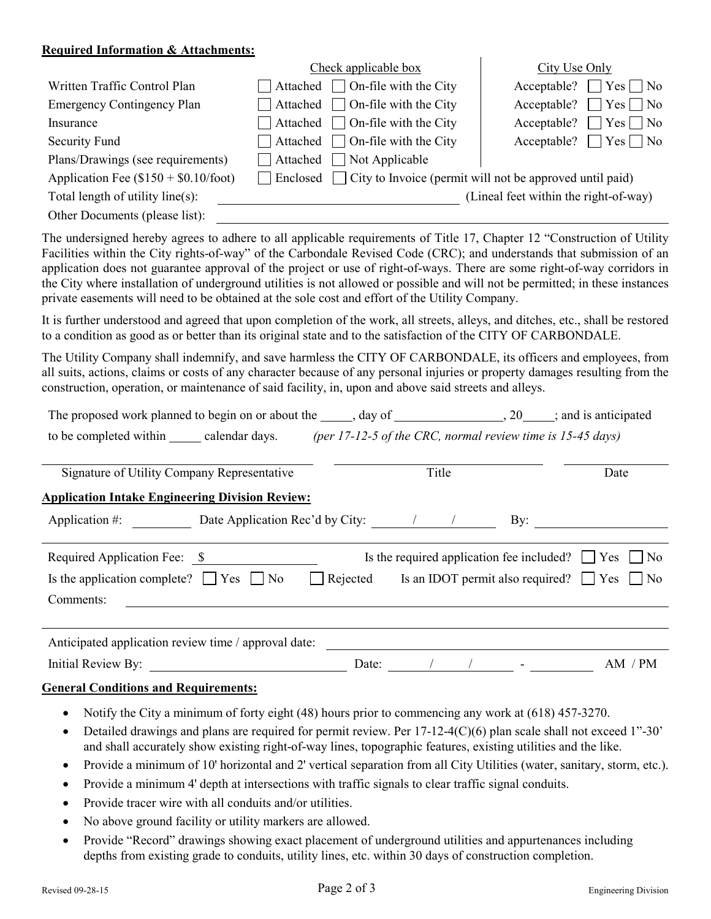## **Required Information & Attachments:**

|                                          | Check applicable box                                                            | City Use Only                         |
|------------------------------------------|---------------------------------------------------------------------------------|---------------------------------------|
| Written Traffic Control Plan             | $\Box$ Attached $\Box$ On-file with the City                                    | Acceptable? $\Box$ Yes $\Box$ No      |
| <b>Emergency Contingency Plan</b>        | Attached $\Box$ On-file with the City                                           | $\Box$ Yes $\Box$ No<br>Acceptable?   |
| Insurance                                | Attached $\Box$ On-file with the City                                           | $\Box$ Yes $\Box$ No<br>Acceptable?   |
| Security Fund                            | $\Box$ Attached $\Box$ On-file with the City                                    | Acceptable? $\Box$ Yes $\Box$ No      |
| Plans/Drawings (see requirements)        | $\Box$ Attached $\Box$ Not Applicable                                           |                                       |
| Application Fee $(\$150 + \$0.10$ /foot) | $\Box$ Enclosed $\Box$ City to Invoice (permit will not be approved until paid) |                                       |
| Total length of utility line(s):         |                                                                                 | (Lineal feet within the right-of-way) |
| Other Documents (please list):           |                                                                                 |                                       |

The undersigned hereby agrees to adhere to all applicable requirements of Title 17, Chapter 12 "Construction of Utility Facilities within the City rights-of-way" of the Carbondale Revised Code (CRC); and understands that submission of an application does not guarantee approval of the project or use of right-of-ways. There are some right-of-way corridors in the City where installation of underground utilities is not allowed or possible and will not be permitted; in these instances private easements will need to be obtained at the sole cost and effort of the Utility Company.

It is further understood and agreed that upon completion of the work, all streets, alleys, and ditches, etc., shall be restored to a condition as good as or better than its original state and to the satisfaction of the CITY OF CARBONDALE.

The Utility Company shall indemnify, and save harmless the CITY OF CARBONDALE, its officers and employees, from all suits, actions, claims or costs of any character because of any personal injuries or property damages resulting from the construction, operation, or maintenance of said facility, in, upon and above said streets and alleys.

| The proposed work planned to begin on or about the $\_\_\_$ , day of $\_\_\_\_$ , 20, $\_\_\_$ ; and is anticipated |                                                                       |                                                                                                                                                                                                                                                                                                                    |                                                                |  |
|---------------------------------------------------------------------------------------------------------------------|-----------------------------------------------------------------------|--------------------------------------------------------------------------------------------------------------------------------------------------------------------------------------------------------------------------------------------------------------------------------------------------------------------|----------------------------------------------------------------|--|
| to be completed within calendar days. (per 17-12-5 of the CRC, normal review time is 15-45 days)                    |                                                                       |                                                                                                                                                                                                                                                                                                                    |                                                                |  |
| Signature of Utility Company Representative                                                                         |                                                                       | Title                                                                                                                                                                                                                                                                                                              |                                                                |  |
| <b>Application Intake Engineering Division Review:</b>                                                              |                                                                       |                                                                                                                                                                                                                                                                                                                    |                                                                |  |
| Application #: Date Application Rec'd by City: / /                                                                  |                                                                       | By:                                                                                                                                                                                                                                                                                                                |                                                                |  |
| Required Application Fee: \$                                                                                        |                                                                       |                                                                                                                                                                                                                                                                                                                    | Is the required application fee included? $\Box$ Yes $\Box$ No |  |
| Is the application complete? $\Box$ Yes $\Box$ No                                                                   | $\Box$ Rejected Is an IDOT permit also required? $\Box$ Yes $\Box$ No |                                                                                                                                                                                                                                                                                                                    |                                                                |  |
| Comments:                                                                                                           |                                                                       |                                                                                                                                                                                                                                                                                                                    |                                                                |  |
|                                                                                                                     |                                                                       |                                                                                                                                                                                                                                                                                                                    |                                                                |  |
| Anticipated application review time / approval date:                                                                |                                                                       |                                                                                                                                                                                                                                                                                                                    |                                                                |  |
| Initial Review By:                                                                                                  | Date:                                                                 | $\sqrt{2}$ $\sqrt{2}$ $\sqrt{2}$ $\sqrt{2}$ $\sqrt{2}$ $\sqrt{2}$ $\sqrt{2}$ $\sqrt{2}$ $\sqrt{2}$ $\sqrt{2}$ $\sqrt{2}$ $\sqrt{2}$ $\sqrt{2}$ $\sqrt{2}$ $\sqrt{2}$ $\sqrt{2}$ $\sqrt{2}$ $\sqrt{2}$ $\sqrt{2}$ $\sqrt{2}$ $\sqrt{2}$ $\sqrt{2}$ $\sqrt{2}$ $\sqrt{2}$ $\sqrt{2}$ $\sqrt{2}$ $\sqrt{2}$ $\sqrt{2$ | AM / PM                                                        |  |
| Conoral Conditions and Roquiromonts.                                                                                |                                                                       |                                                                                                                                                                                                                                                                                                                    |                                                                |  |

#### **General Conditions and Requirements:**

- Notify the City a minimum of forty eight (48) hours prior to commencing any work at (618) 457-3270.
- Detailed drawings and plans are required for permit review. Per 17-12-4(C)(6) plan scale shall not exceed 1"-30' and shall accurately show existing right-of-way lines, topographic features, existing utilities and the like.
- Provide a minimum of 10' horizontal and 2' vertical separation from all City Utilities (water, sanitary, storm, etc.).
- Provide a minimum 4' depth at intersections with traffic signals to clear traffic signal conduits.
- Provide tracer wire with all conduits and/or utilities.
- No above ground facility or utility markers are allowed.
- Provide "Record" drawings showing exact placement of underground utilities and appurtenances including depths from existing grade to conduits, utility lines, etc. within 30 days of construction completion.